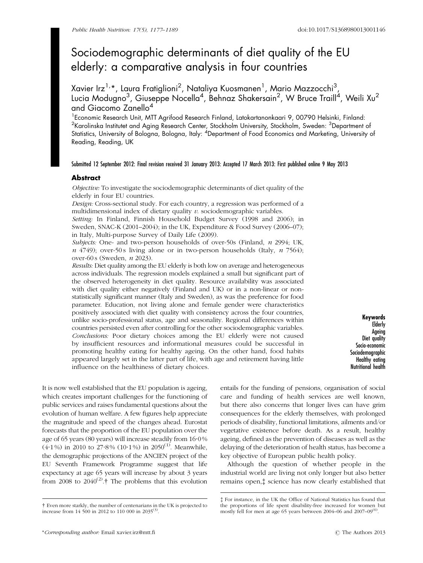# Sociodemographic determinants of diet quality of the EU elderly: a comparative analysis in four countries

Xavier Irz<sup>1,</sup>\*, Laura Fratiglioni<sup>2</sup>, Nataliya Kuosmanen<sup>1</sup>, Mario Mazzocchi<sup>3</sup>, Lucia Modugno<sup>3</sup>, Giuseppe Nocella<sup>4</sup>, Behnaz Shakersain<sup>2</sup>, W Bruce Traill<sup>4</sup>, Weili Xu<sup>2</sup> and Giacomo Zanello<sup>4</sup>

<sup>1</sup> Economic Research Unit, MTT Agrifood Research Finland, Latokartanonkaari 9, 00790 Helsinki, Finland:  $^2$ Karolinska Institutet and Aging Research Center, Stockholm University, Stockholm, Sweden:  $^3$ Department of Statistics, University of Bologna, Bologna, Italy: <sup>4</sup>Department of Food Economics and Marketing, University ol Reading, Reading, UK

## Submitted 12 September 2012: Final revision received 31 January 2013: Accepted 17 March 2013: First published online 9 May 2013

# Abstract

Objective: To investigate the sociodemographic determinants of diet quality of the elderly in four EU countries.

Design: Cross-sectional study. For each country, a regression was performed of a multidimensional index of dietary quality  $v$ . sociodemographic variables.

Setting: In Finland, Finnish Household Budget Survey (1998 and 2006); in Sweden, SNAC-K (2001–2004); in the UK, Expenditure & Food Survey (2006–07); in Italy, Multi-purpose Survey of Daily Life (2009).

Subjects: One- and two-person households of over-50s (Finland,  $n$  2994; UK,  $n$  4749); over-50 s living alone or in two-person households (Italy,  $n$  7564); over-60 s (Sweden, n 2023).

Results: Diet quality among the EU elderly is both low on average and heterogeneous across individuals. The regression models explained a small but significant part of the observed heterogeneity in diet quality. Resource availability was associated with diet quality either negatively (Finland and UK) or in a non-linear or nonstatistically significant manner (Italy and Sweden), as was the preference for food parameter. Education, not living alone and female gender were characteristics positively associated with diet quality with consistency across the four countries, unlike socio-professional status, age and seasonality. Regional differences within countries persisted even after controlling for the other sociodemographic variables. Conclusions: Poor dietary choices among the EU elderly were not caused by insufficient resources and informational measures could be successful in promoting healthy eating for healthy ageing. On the other hand, food habits appeared largely set in the latter part of life, with age and retirement having little influence on the healthiness of dietary choices.

Keywords Elderly Ageing Diet quality Socio-economic Sociodemographic Healthy eating Nutritional health

It is now well established that the EU population is ageing, which creates important challenges for the functioning of public services and raises fundamental questions about the evolution of human welfare. A few figures help appreciate the magnitude and speed of the changes ahead. Eurostat forecasts that the proportion of the EU population over the age of 65 years (80 years) will increase steadily from  $16.0\%$ (4.1%) in 2010 to 27.8% (10.1%) in 2050<sup>(1)</sup>. Meanwhile, the demographic projections of the ANCIEN project of the EU Seventh Framework Programme suggest that life expectancy at age 65 years will increase by about 3 years from 2008 to  $2040^{(2)}$ ; The problems that this evolution

entails for the funding of pensions, organisation of social care and funding of health services are well known, but there also concerns that longer lives can have grim consequences for the elderly themselves, with prolonged periods of disability, functional limitations, ailments and/or vegetative existence before death. As a result, healthy ageing, defined as the prevention of diseases as well as the delaying of the deterioration of health status, has become a key objective of European public health policy.

Although the question of whether people in the industrial world are living not only longer but also better remains open,<sup>†</sup> science has now clearly established that

y Even more starkly, the number of centenarians in the UK is projected to increase from 14 500 in 2012 to 110 000 in 2035<sup>[\(3\)](#page-11-0)</sup>.

z For instance, in the UK the Office of National Statistics has found that the proportions of life spent disability-free increased for women but mostly fell for men at age 65 years between 2004–06 and 2007–09<sup>(6)</sup>.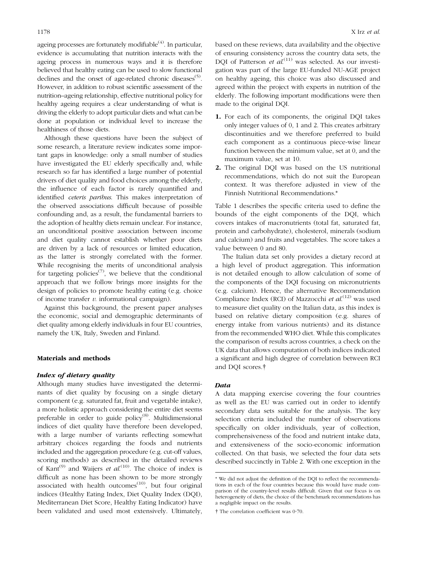ageing processes are fortunately modifiable $^{(4)}$ . In particular, evidence is accumulating that nutrition interacts with the ageing process in numerous ways and it is therefore believed that healthy eating can be used to slow functional declines and the onset of age-related chronic diseases<sup> $(5)$ </sup>. However, in addition to robust scientific assessment of the nutrition–ageing relationship, effective nutritional policy for healthy ageing requires a clear understanding of what is driving the elderly to adopt particular diets and what can be done at population or individual level to increase the healthiness of those diets.

Although these questions have been the subject of some research, a literature review indicates some important gaps in knowledge: only a small number of studies have investigated the EU elderly specifically and, while research so far has identified a large number of potential drivers of diet quality and food choices among the elderly, the influence of each factor is rarely quantified and identified ceteris paribus. This makes interpretation of the observed associations difficult because of possible confounding and, as a result, the fundamental barriers to the adoption of healthy diets remain unclear. For instance, an unconditional positive association between income and diet quality cannot establish whether poor diets are driven by a lack of resources or limited education, as the latter is strongly correlated with the former. While recognising the merits of unconditional analysis for targeting policies<sup> $(7)$ </sup>, we believe that the conditional approach that we follow brings more insights for the design of policies to promote healthy eating (e.g. choice of income transfer  $v$ . informational campaign).

Against this background, the present paper analyses the economic, social and demographic determinants of diet quality among elderly individuals in four EU countries, namely the UK, Italy, Sweden and Finland.

### Materials and methods

# Index of dietary quality

Although many studies have investigated the determinants of diet quality by focusing on a single dietary component (e.g. saturated fat, fruit and vegetable intake), a more holistic approach considering the entire diet seems preferable in order to guide policy<sup>[\(8\)](#page-11-0)</sup>. Multidimensional indices of diet quality have therefore been developed, with a large number of variants reflecting somewhat arbitrary choices regarding the foods and nutrients included and the aggregation procedure (e.g. cut-off values, scoring methods) as described in the detailed reviews of Kant<sup>[\(9\)](#page-11-0)</sup> and Waijers *et al.*<sup>[\(10\)](#page-11-0)</sup>. The choice of index is difficult as none has been shown to be more strongly associated with health outcomes $<sup>(10)</sup>$ , but four original</sup> indices (Healthy Eating Index, Diet Quality Index (DQI), Mediterranean Diet Score, Healthy Eating Indicator) have been validated and used most extensively. Ultimately, based on these reviews, data availability and the objective of ensuring consistency across the country data sets, the DQI of Patterson *et al.*<sup>[\(11\)](#page-11-0)</sup> was selected. As our investigation was part of the large EU-funded NU-AGE project on healthy ageing, this choice was also discussed and agreed within the project with experts in nutrition of the elderly. The following important modifications were then made to the original DQI.

- 1. For each of its components, the original DQI takes only integer values of 0, 1 and 2. This creates arbitrary discontinuities and we therefore preferred to build each component as a continuous piece-wise linear function between the minimum value, set at 0, and the maximum value, set at 10.
- 2. The original DQI was based on the US nutritional recommendations, which do not suit the European context. It was therefore adjusted in view of the Finnish Nutritional Recommendations.\*

[Table 1](#page-2-0) describes the specific criteria used to define the bounds of the eight components of the DQI, which covers intakes of macronutrients (total fat, saturated fat, protein and carbohydrate), cholesterol, minerals (sodium and calcium) and fruits and vegetables. The score takes a value between 0 and 80.

The Italian data set only provides a dietary record at a high level of product aggregation. This information is not detailed enough to allow calculation of some of the components of the DQI focusing on micronutrients (e.g. calcium). Hence, the alternative Recommendation Compliance Index (RCI) of Mazzocchi et al.<sup>[\(12\)](#page-11-0)</sup> was used to measure diet quality on the Italian data, as this index is based on relative dietary composition (e.g. shares of energy intake from various nutrients) and its distance from the recommended WHO diet. While this complicates the comparison of results across countries, a check on the UK data that allows computation of both indices indicated a significant and high degree of correlation between RCI and DQI scores.<sup>†</sup>

#### Data

A data mapping exercise covering the four countries as well as the EU was carried out in order to identify secondary data sets suitable for the analysis. The key selection criteria included the number of observations specifically on older individuals, year of collection, comprehensiveness of the food and nutrient intake data, and extensiveness of the socio-economic information collected. On that basis, we selected the four data sets described succinctly in [Table 2.](#page-3-0) With one exception in the

<sup>\*</sup> We did not adjust the definition of the DQI to reflect the recommendations in each of the four countries because this would have made comparison of the country-level results difficult. Given that our focus is on heterogeneity of diets, the choice of the benchmark recommendations has a negligible impact on the results.

<sup>&</sup>lt;sup>†</sup> The correlation coefficient was 0.70.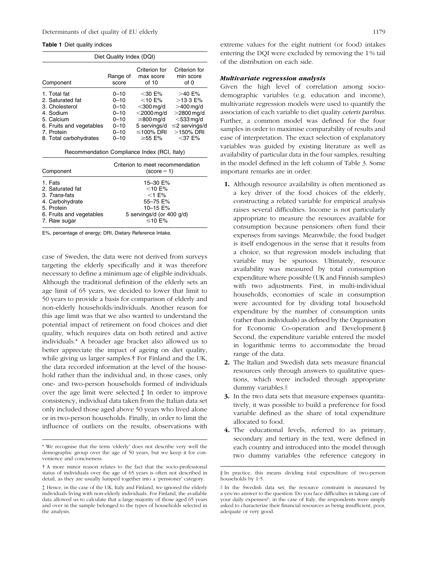#### <span id="page-2-0"></span>Table 1 Diet quality indices

|                                                                                                                                                   | Diet Quality Index (DQI)                                                         |                                                                                                                              |                                                                                                                           |
|---------------------------------------------------------------------------------------------------------------------------------------------------|----------------------------------------------------------------------------------|------------------------------------------------------------------------------------------------------------------------------|---------------------------------------------------------------------------------------------------------------------------|
| Component                                                                                                                                         | Range of<br>score                                                                | Criterion for<br>max score<br>of 10                                                                                          | Criterion for<br>min score<br>of 0                                                                                        |
| 1. Total fat<br>2. Saturated fat<br>3. Cholesterol<br>4. Sodium<br>5. Calcium<br>6. Fruits and vegetables<br>7. Protein<br>8. Total carbohydrates | $0 - 10$<br>$0 - 10$<br>0-10<br>$0 - 10$<br>0–10<br>0–10<br>$0 - 10$<br>$0 - 10$ | $<$ 30 E%<br>$<$ 10 E% $\,$<br>$<$ 300 mg/d<br>$<$ 2000 mg/d<br>$\geq$ 800 mg/d<br>5 servings/d<br>$\leq$ 100% DRI<br>≥55 E% | >40 E%<br>$>13.3$ E%<br>$>$ 400 mg/d<br>$>$ 2800 mg/d<br>$<$ 533 mg/d<br>$\leq$ 2 servings/d<br>$>$ 150% DRI<br>$<$ 37 E% |
| Recommendation Compliance Index (RCI, Italy)                                                                                                      |                                                                                  |                                                                                                                              |                                                                                                                           |
| Component                                                                                                                                         |                                                                                  | Criterion to meet recommendation<br>$(score = 1)$                                                                            |                                                                                                                           |
| 1. Fats<br>2. Saturated fat                                                                                                                       |                                                                                  | 15-30 E%<br>$<$ 10 E%                                                                                                        |                                                                                                                           |

3. Trans-fats  $\leq 1$  E%  $\leq 4$  Carbohydrate  $55-75$  E% 4. Carbohydrate<br>5. Protein 5. Protein 10–15 E%<br>6. Fruits and vegetables 5 servings/d (or 4 5 servings/d (or 400 a/d) 7. Raw sugar  $\leq 10$  E%

E%, percentage of energy; DRI, Dietary Reference Intake.

case of Sweden, the data were not derived from surveys targeting the elderly specifically and it was therefore necessary to define a minimum age of eligible individuals. Although the traditional definition of the elderly sets an age limit of 65 years, we decided to lower that limit to 50 years to provide a basis for comparison of elderly and non-elderly households/individuals. Another reason for this age limit was that we also wanted to understand the potential impact of retirement on food choices and diet quality, which requires data on both retired and active individuals.\* A broader age bracket also allowed us to better appreciate the impact of ageing on diet quality, while giving us larger samples.<sup>†</sup> For Finland and the UK, the data recorded information at the level of the household rather than the individual and, in those cases, only one- and two-person households formed of individuals over the age limit were selected.<sup>†</sup> In order to improve consistency, individual data taken from the Italian data set only included those aged above 50 years who lived alone or in two-person households. Finally, in order to limit the influence of outliers on the results, observations with extreme values for the eight nutrient (or food) intakes entering the DQI were excluded by removing the 1 % tail of the distribution on each side.

## Multivariate regression analysis

Given the high level of correlation among sociodemographic variables (e.g. education and income), multivariate regression models were used to quantify the association of each variable to diet quality ceteris paribus. Further, a common model was defined for the four samples in order to maximise comparability of results and ease of interpretation. The exact selection of explanatory variables was guided by existing literature as well as availability of particular data in the four samples, resulting in the model defined in the left column of [Table 3](#page-4-0). Some important remarks are in order.

- 1. Although resource availability is often mentioned as a key driver of the food choices of the elderly, constructing a related variable for empirical analysis raises several difficulties. Income is not particularly appropriate to measure the resources available for consumption because pensioners often fund their expenses from savings. Meanwhile, the food budget is itself endogenous in the sense that it results from a choice, so that regression models including that variable may be spurious. Ultimately, resource availability was measured by total consumption expenditure where possible (UK and Finnish samples) with two adjustments. First, in multi-individual households, economies of scale in consumption were accounted for by dividing total household expenditure by the number of consumption units (rather than individuals) as defined by the Organisation for Economic Co-operation and Development.§ Second, the expenditure variable entered the model in logarithmic terms to accommodate the broad range of the data.
- 2. The Italian and Swedish data sets measure financial resources only through answers to qualitative questions, which were included through appropriate dummy variables.<sup>||</sup>
- 3. In the two data sets that measure expenses quantitatively, it was possible to build a preference for food variable defined as the share of total expenditure allocated to food.
- 4. The educational levels, referred to as primary, secondary and tertiary in the text, were defined in each country and introduced into the model through two dummy variables (the reference category in

<sup>\*</sup> We recognise that the term 'elderly' does not describe very well the demographic group over the age of 50 years, but we keep it for convenience and conciseness.

 $\dagger$  A more minor reason relates to the fact that the socio-professional status of individuals over the age of 65 years is often not described in detail, as they are usually lumped together into a 'pensioner' category.

z Hence, in the case of the UK, Italy and Finland, we ignored the elderly individuals living with non-elderly individuals. For Finland, the available data allowed us to calculate that a large majority of those aged 65 years and over in the sample belonged to the types of households selected in the analysis.

y In practice, this means dividing total expenditure of two-person households by 1.5.

I In the Swedish data set, the resource constraint is measured by a yes/no answer to the question 'Do you face difficulties in taking care of your daily expenses?'; in the case of Italy, the respondents were simply asked to characterize their financial resources as being insufficient, poor, adequate or very good.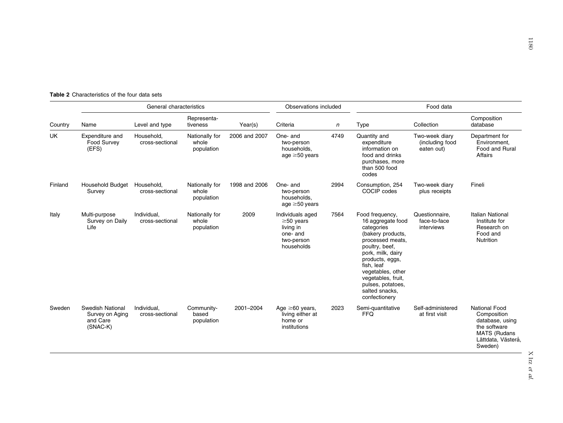|           |                                                                    | General characteristics        |                                       |               | Observations included                                                                    |      |                                                                                                                                                                                                                                                                        | Food data                                       |                                                                                                                                |
|-----------|--------------------------------------------------------------------|--------------------------------|---------------------------------------|---------------|------------------------------------------------------------------------------------------|------|------------------------------------------------------------------------------------------------------------------------------------------------------------------------------------------------------------------------------------------------------------------------|-------------------------------------------------|--------------------------------------------------------------------------------------------------------------------------------|
| Country   | Name                                                               | Level and type                 | Representa-<br>tiveness               | Year(s)       | Criteria                                                                                 | n    | Type                                                                                                                                                                                                                                                                   | Collection                                      | Composition<br>database                                                                                                        |
| <b>UK</b> | Expenditure and<br>Food Survey<br>(EFS)                            | Household,<br>cross-sectional  | Nationally for<br>whole<br>population | 2006 and 2007 | One- and<br>two-person<br>households,<br>age $\geq$ 50 years                             | 4749 | Quantity and<br>expenditure<br>information on<br>food and drinks<br>purchases, more<br>than 500 food<br>codes                                                                                                                                                          | Two-week diary<br>(including food<br>eaten out) | Department for<br>Environment.<br>Food and Rural<br>Affairs                                                                    |
| Finland   | Household Budget<br>Survey                                         | Household,<br>cross-sectional  | Nationally for<br>whole<br>population | 1998 and 2006 | One- and<br>two-person<br>households,<br>age $\geq$ 50 years                             | 2994 | Consumption, 254<br>COCIP codes                                                                                                                                                                                                                                        | Two-week diary<br>plus receipts                 | Fineli                                                                                                                         |
| Italy     | Multi-purpose<br>Survey on Daily<br>Life                           | Individual,<br>cross-sectional | Nationally for<br>whole<br>population | 2009          | Individuals aged<br>$\geq$ 50 years<br>living in<br>one- and<br>two-person<br>households | 7564 | Food frequency,<br>16 aggregate food<br>categories<br>(bakery products,<br>processed meats,<br>poultry, beef,<br>pork, milk, dairy<br>products, eggs,<br>fish, leaf<br>vegetables, other<br>vegetables, fruit,<br>pulses, potatoes,<br>salted snacks.<br>confectionery | Questionnaire,<br>face-to-face<br>interviews    | <b>Italian National</b><br>Institute for<br>Research on<br>Food and<br>Nutrition                                               |
| Sweden    | <b>Swedish National</b><br>Survey on Aging<br>and Care<br>(SNAC-K) | Individual,<br>cross-sectional | Community-<br>based<br>population     | 2001-2004     | Age $\geq 60$ years,<br>living either at<br>home or<br>institutions                      | 2023 | Semi-quantitative<br><b>FFQ</b>                                                                                                                                                                                                                                        | Self-administered<br>at first visit             | <b>National Food</b><br>Composition<br>database, using<br>the software<br><b>MATS (Rudans</b><br>Lättdata, Västerå,<br>Sweden) |

#### <span id="page-3-0"></span>**Table 2** Characteristics of the four data sets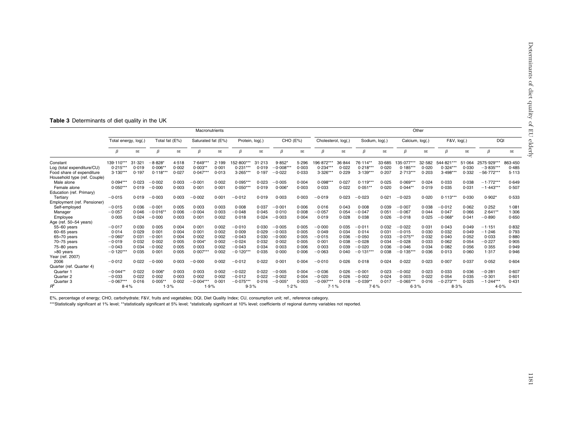#### <span id="page-4-0"></span>Table 3 Determinants of diet quality in the UK

|                              |                      |        |                |       | Macronutrients     |       |                 |        |             |       | Other               |        |                |        |                 |        |             |        |              |         |
|------------------------------|----------------------|--------|----------------|-------|--------------------|-------|-----------------|--------|-------------|-------|---------------------|--------|----------------|--------|-----------------|--------|-------------|--------|--------------|---------|
|                              | Total energy, log(.) |        | Total fat (E%) |       | Saturated fat (E%) |       | Protein, log(.) |        | CHO (E%)    |       | Cholesterol, log(.) |        | Sodium, log(.) |        | Calcium, log(.) |        | F&V, log(.) |        | DQI          |         |
|                              | β                    | SE     | ß              | SE    | B                  | SE    | β               | SE     | Β           | SE    | ß                   | SE     | ß              | SE     | $\beta$         | SE     | ß           | SE     | β            | SE      |
| Constant                     | 139-110***           | 31.321 | 8.828          | 4.518 | $7.649**$          | 2.199 | 52.800***       | 31.213 | $9.852*$    | 5.296 | 96.872***           | 36.844 | 76-114*        | 33.685 | $135.077***$    | 32.582 | 544.821     | 51.064 | 2575-929*    | 863-450 |
| Log (total expenditure/CU)   | $0.215***$           | 0.019  | $0.006*$       | 0.002 | $0.003*$           | 0.001 | $0.231***$      | 0.019  | $-0.008***$ | 0.003 | $0.234***$          | 0.022  | $0.218***$     | 0.020  | $0.185***$      | 0.020  | $0.324***$  | 0.030  | $-3.835***$  | 0.485   |
| Food share of expenditure    | $3.130***$           | 0.197  | $0.118***$     | 0.027 | $0.047***$         | 0.013 | $3.265***$      | 0.197  | $-0.022$    | 0.033 | $3.326***$          | 0.229  | $3.139***$     | 0.207  | $2.713***$      | 0.203  | $3.498***$  | 0.332  | $-56.772***$ | 5.113   |
| Household type (ref. Couple) |                      |        |                |       |                    |       |                 |        |             |       |                     |        |                |        |                 |        |             |        |              |         |
| Male alone                   | $0.094***$           | 0.023  | $-0.002$       | 0.003 | $-0.001$           | 0.002 | $0.095***$      | 0.023  | $-0.005$    | 0.004 | $0.098***$          | 0.027  | $0.119***$     | 0.025  | $0.069***$      | 0.024  | 0.033       | 0.038  | $-1.772***$  | 0.649   |
| Female alone                 | $0.050***$           | 0.019  | $-0.000$       | 0.003 | 0.001              | 0.001 | $0.050***$      | 0.019  | $0.006*$    | 0.003 | 0.033               | 0.022  | $0.051**$      | 0.020  | $0.044**$       | 0.019  | 0.035       | 0.031  | $-1.443***$  | 0.507   |
| Education (ref. Primary)     |                      |        |                |       |                    |       |                 |        |             |       |                     |        |                |        |                 |        |             |        |              |         |
| Tertiary                     | $-0.015$             | 0.019  | $-0.003$       | 0.003 | $-0.002$           | 0.001 | $-0.012$        | 0.019  | 0.003       | 0.003 | $-0.019$            | 0.023  | $-0.023$       | 0.021  | $-0.023$        | 0.020  | $0.113***$  | 0.030  | $0.902*$     | 0.533   |
| Employment (ref. Pensioner)  |                      |        |                |       |                    |       |                 |        |             |       |                     |        |                |        |                 |        |             |        |              |         |
| Self-employed                | $-0.015$             | 0.036  | $-0.001$       | 0.005 | 0.003              | 0.003 | 0.008           | 0.037  | $-0.001$    | 0.006 | 0.016               | 0.043  | 0.008          | 0.039  | $-0.007$        | 0.038  | $-0.012$    | 0.062  | 0.252        | 1.081   |
| Manager                      | $-0.057$             | 0.046  | $-0.016*$      | 0.006 | $-0.004$           | 0.003 | $-0.048$        | 0.045  | 0.010       | 0.008 | $-0.057$            | 0.054  | $-0.047$       | 0.051  | $-0.067$        | 0.044  | 0.047       | 0.066  | $2.641**$    | 1.306   |
| Emplovee                     | 0.005                | 0.024  | $-0.000$       | 0.003 | 0.001              | 0.002 | 0.018           | 0.024  | $-0.003$    | 0.004 | 0.019               | 0.028  | 0.038          | 0.026  | $-0.018$        | 0.025  | $-0.068$    | 0.041  | $-0.890$     | 0.650   |
| Age (ref. 50-54 years)       |                      |        |                |       |                    |       |                 |        |             |       |                     |        |                |        |                 |        |             |        |              |         |
| 55-60 years                  | $-0.017$             | 0.030  | 0.005          | 0.004 | 0.001              | 0.002 | $-0.010$        | 0.030  | $-0.005$    | 0.005 | $-0.000$            | 0.035  | $-0.011$       | 0.032  | $-0.022$        | 0.031  | 0.043       | 0.049  | $-1.151$     | 0.832   |
| $60 - 65$ years              | 0.014                | 0.029  | 0.001          | 0.004 | 0.001              | 0.002 | 0.009           | 0.029  | $-0.003$    | 0.005 | 0.049               | 0.034  | 0.014          | 0.031  | $-0.015$        | 0.030  | 0.032       | 0.049  | $-1.246$     | 0.793   |
| 65-70 years                  | $-0.060$             | 0.031  | $-0.001$       | 0.004 | 0.002              | 0.002 | $-0.043$        | 0.030  | $-0.000$    | 0.005 | $-0.015$            | 0.036  | $-0.050$       | 0.033  | $-0.075**$      | 0.032  | 0.040       | 0.052  | 0.033        | 0.880   |
| 70-75 years                  | $-0.019$             | 0.032  | 0.002          | 0.005 | 0.004              | 0.002 | $-0.024$        | 0.032  | 0.002       | 0.005 | 0.001               | 0.038  | $-0.028$       | 0.034  | $-0.028$        | 0.033  | 0.062       | 0.054  | $-0.227$     | 0.905   |
| 75-80 years                  | $-0.043$             | 0.034  | $-0.002$       | 0.005 | 0.003              | 0.002 | $-0.043$        | 0.034  | 0.003       | 0.006 | 0.003               | 0.039  | $-0.020$       | 0.036  | $-0.046$        | 0.034  | 0.082       | 0.056  | 0.355        | 0.949   |
| >80 years                    | $-0.120***$          | 0.035  | 0.001          | 0.005 | $0.007***$         | 0.002 | $-0.120***$     | 0.035  | 0.000       | 0.006 | $-0.063$            | 0.040  | $-0.131***$    | 0.038  | $-0.135***$     | 0.036  | 0.013       | 0.060  | 1.317        | 0.946   |
| Year (ref. 2007)             |                      |        |                |       |                    |       |                 |        |             |       |                     |        |                |        |                 |        |             |        |              |         |
| 2006                         | $-0.012$             | 0.022  | 0.000          | 0.003 | $-0.000$           | 0.002 | $-0.012$        | 0.022  | 0.001       | 0.004 | $-0.010$            | 0.026  | 0.018          | 0.024  | 0.022           | 0.023  | 0.007       | 0.037  | 0.052        | 0.604   |
| Quarter (ref. Quarter 4)     |                      |        |                |       |                    |       |                 |        |             |       |                     |        |                |        |                 |        |             |        |              |         |
| Quarter 1                    | $-0.044**$           | 0.022  | 0.006          | 0.003 | 0.003              | 0.002 | $-0.022$        | 0.022  | $-0.005$    | 0.004 | $-0.036$            | 0.026  | $-0.001$       | 0.023  | $-0.002$        | 0.023  | 0.033       | 0.036  | $-0.281$     | 0.607   |
| Quarter 2                    | $-0.033$             | 0.022  | 0.002          | 0.003 | 0.002              | 0.002 | $-0.012$        | 0.022  | $-0.002$    | 0.004 | $-0.020$            | 0.026  | $-0.002$       | 0.024  | 0.003           | 0.022  | 0.054       | 0.035  | $-0.301$     | 0.601   |
| Quarter 3                    | $-0.067***$          | 0.016  | $0.005**$      | 0.002 | $-0.004***$        | 0.001 | $-0.075***$     | 0.016  | $-0.005$    | 0.003 | $-0.097***$         | 0.018  | $-0.039*$      | 0.017  | $-0.065***$     | 0.016  | $-0.273***$ | 0.025  | $-1.244***$  | 0.431   |
| $R^2$                        | 8.4%                 |        | 1.3%           |       | $1.9\%$            |       | 9.3%            |        | 1.2%        |       | 7.1%                |        | 7.6%           |        | 6.3%            |        | 8.3%        |        | 4.0%         |         |

E%, percentage of energy; CHO, carbohydrate; F&V, fruits and vegetables; DQI, Diet Quality Index; CU, consumption unit; ref., reference category.

\*\*\*Statistically significant at 1% level; \*\*statistically significant at 5% level; \*statistically significant at 10% level; coefficients of regional dummy variables not reported.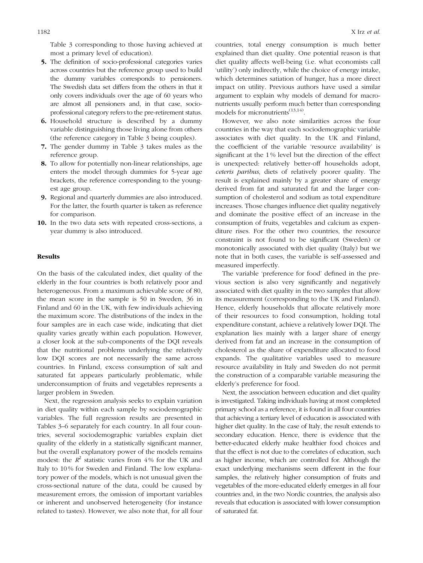[Table 3](#page-4-0) corresponding to those having achieved at most a primary level of education).

- 5. The definition of socio-professional categories varies across countries but the reference group used to build the dummy variables corresponds to pensioners. The Swedish data set differs from the others in that it only covers individuals over the age of 60 years who are almost all pensioners and, in that case, socioprofessional category refers to the pre-retirement status.
- 6. Household structure is described by a dummy variable distinguishing those living alone from others (the reference category in [Table 3](#page-4-0) being couples).
- 7. The gender dummy in [Table 3](#page-4-0) takes males as the reference group.
- 8. To allow for potentially non-linear relationships, age enters the model through dummies for 5-year age brackets, the reference corresponding to the youngest age group.
- 9. Regional and quarterly dummies are also introduced. For the latter, the fourth quarter is taken as reference for comparison.
- 10. In the two data sets with repeated cross-sections, a year dummy is also introduced.

#### Results

On the basis of the calculated index, diet quality of the elderly in the four countries is both relatively poor and heterogeneous. From a maximum achievable score of 80, the mean score in the sample is 50 in Sweden, 36 in Finland and 60 in the UK, with few individuals achieving the maximum score. The distributions of the index in the four samples are in each case wide, indicating that diet quality varies greatly within each population. However, a closer look at the sub-components of the DQI reveals that the nutritional problems underlying the relatively low DQI scores are not necessarily the same across countries. In Finland, excess consumption of salt and saturated fat appears particularly problematic, while underconsumption of fruits and vegetables represents a larger problem in Sweden.

Next, the regression analysis seeks to explain variation in diet quality within each sample by sociodemographic variables. The full regression results are presented in [Tables 3–](#page-4-0)[6](#page-8-0) separately for each country. In all four countries, several sociodemographic variables explain diet quality of the elderly in a statistically significant manner, but the overall explanatory power of the models remains modest: the  $\mathbb{R}^2$  statistic varies from 4% for the UK and Italy to 10 % for Sweden and Finland. The low explanatory power of the models, which is not unusual given the cross-sectional nature of the data, could be caused by measurement errors, the omission of important variables or inherent and unobserved heterogeneity (for instance related to tastes). However, we also note that, for all four

countries, total energy consumption is much better explained than diet quality. One potential reason is that diet quality affects well-being (i.e. what economists call 'utility') only indirectly, while the choice of energy intake, which determines satiation of hunger, has a more direct impact on utility. Previous authors have used a similar argument to explain why models of demand for macronutrients usually perform much better than corresponding models for micronutrients $(13,14)$ .

However, we also note similarities across the four countries in the way that each sociodemographic variable associates with diet quality. In the UK and Finland, the coefficient of the variable 'resource availability' is significant at the 1 % level but the direction of the effect is unexpected: relatively better-off households adopt, ceteris paribus, diets of relatively poorer quality. The result is explained mainly by a greater share of energy derived from fat and saturated fat and the larger consumption of cholesterol and sodium as total expenditure increases. Those changes influence diet quality negatively and dominate the positive effect of an increase in the consumption of fruits, vegetables and calcium as expenditure rises. For the other two countries, the resource constraint is not found to be significant (Sweden) or monotonically associated with diet quality (Italy) but we note that in both cases, the variable is self-assessed and measured imperfectly.

The variable 'preference for food' defined in the previous section is also very significantly and negatively associated with diet quality in the two samples that allow its measurement (corresponding to the UK and Finland). Hence, elderly households that allocate relatively more of their resources to food consumption, holding total expenditure constant, achieve a relatively lower DQI. The explanation lies mainly with a larger share of energy derived from fat and an increase in the consumption of cholesterol as the share of expenditure allocated to food expands. The qualitative variables used to measure resource availability in Italy and Sweden do not permit the construction of a comparable variable measuring the elderly's preference for food.

Next, the association between education and diet quality is investigated. Taking individuals having at most completed primary school as a reference, it is found in all four countries that achieving a tertiary level of education is associated with higher diet quality. In the case of Italy, the result extends to secondary education. Hence, there is evidence that the better-educated elderly make healthier food choices and that the effect is not due to the correlates of education, such as higher income, which are controlled for. Although the exact underlying mechanisms seem different in the four samples, the relatively higher consumption of fruits and vegetables of the more-educated elderly emerges in all four countries and, in the two Nordic countries, the analysis also reveals that education is associated with lower consumption of saturated fat.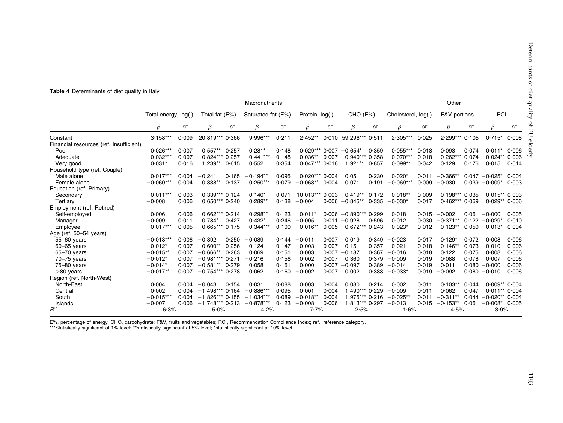#### Table 4 Determinants of diet quality in Italy

|                                         | Macronutrients       |           |                   |           |                    |           |                         |           |                    |           |                     |           | Other        |           |            |       |  |  |  |  |
|-----------------------------------------|----------------------|-----------|-------------------|-----------|--------------------|-----------|-------------------------|-----------|--------------------|-----------|---------------------|-----------|--------------|-----------|------------|-------|--|--|--|--|
|                                         | Total energy, log(.) |           | Total fat $(E%)$  |           | Saturated fat (E%) |           | Protein, log(.)         |           | CHO (E%)           |           | Cholesterol, log(.) |           | F&V portions |           | RCI        |       |  |  |  |  |
|                                         | β                    | <b>SE</b> | β                 | <b>SE</b> | β                  | <b>SE</b> | β                       | <b>SE</b> | β                  | <b>SE</b> | β                   | <b>SE</b> | β            | <b>SE</b> | β          | SE    |  |  |  |  |
| Constant                                | $3.158***$           | 0.009     | 20.819*** 0.366   |           | 9.996***           | 0.211     | $2.452***$              |           | $0.010$ 59.296***  | 0.511     | $2.305***$          | 0.025     | $2.299***$   | 0.105     | $0.715*$   | 0.008 |  |  |  |  |
| Financial resources (ref. Insufficient) |                      |           |                   |           |                    |           |                         |           |                    |           |                     |           |              |           |            |       |  |  |  |  |
| Poor                                    | $0.026***$           | 0.007     | $0.557**$         | 0.257     | $0.281*$           | 0.148     | $0.029***0.007 -0.654*$ |           |                    | 0.359     | $0.055***$          | 0.018     | 0.093        | 0.074     | $0.011*$   | 0.006 |  |  |  |  |
| Adequate                                | $0.032***$           | 0.007     | $0.824***$        | 0.257     | $0.441***$         | 0.148     | $0.036**$               |           | $0.007 - 0.940***$ | 0.358     | $0.070***$          | 0.018     | $0.262***$   | 0.074     | $0.024**$  | 0.006 |  |  |  |  |
| Very good                               | $0.031*$             | 0.016     | $1.239**$         | 0.615     | 0.552              | 0.354     | $0.047***$ 0.016        |           | $1.921**$          | 0.857     | $0.099**$           | 0.042     | 0.129        | 0.176     | 0.015      | 0.014 |  |  |  |  |
| Household type (ref. Couple)            |                      |           |                   |           |                    |           |                         |           |                    |           |                     |           |              |           |            |       |  |  |  |  |
| Male alone                              | $0.017***$           | 0.004     | $-0.241$          | 0.165     | -0.194**           | 0.095     | $0.020***$              | 0.004     | 0.051              | 0.230     | $0.020*$            | 0.011     | $-0.366$ *   | 0.047     | $-0.025*$  | 0.004 |  |  |  |  |
| Female alone                            | $-0.060***$          | 0.004     | $0.338**$         | 0.137     | $0.250***$         | 0.079     | $-0.068**$              | 0.004     | 0.071              | 0.191     | $-0.069***$         | 0.009     | $-0.030$     | 0.039     | $-0.009*$  | 0.003 |  |  |  |  |
| Education (ref. Primary)                |                      |           |                   |           |                    |           |                         |           |                    |           |                     |           |              |           |            |       |  |  |  |  |
| Secondary                               | $0.011***$           | 0.003     | $0.339***0.124$   |           | $0.140*$           | 0.071     | $10.013***$             | 0.003     | $-0.419**$         | 0.172     | $0.018**$           | 0.009     | $0.198***$   | 0.035     | $0.015**$  | 0.003 |  |  |  |  |
| Tertiarv                                | $-0.008$             | 0.006     | $0.650***0.240$   |           | $0.289**$          | 0.138     | $-0.004$                | 0.006     | $-0.845**$         | 0.335     | $-0.030*$           | 0.017     | $0.462***$   | 0.069     | $0.029**$  | 0.006 |  |  |  |  |
| Employment (ref. Retired)               |                      |           |                   |           |                    |           |                         |           |                    |           |                     |           |              |           |            |       |  |  |  |  |
| Self-employed                           | 0.006                | 0.006     | $0.662***0.214$   |           | $0.298**$          | 0.123     | 0.011                   | 0.006     | $-0.890***$        | 0.299     | 0.018               | 0.015     | $-0.002$     | 0.061     | $-0.000$   | 0.005 |  |  |  |  |
| Manager                                 | $-0.009$             | 0.011     | $0.784*$          | 0.427     | $0.432*$           | 0.246     | $-0.005$                | 0.011     | $-0.928$           | 0.596     | 0.012               | 0.030     | $-0.371**$   | 0.122     | $-0.029*$  | 0.010 |  |  |  |  |
| Employee                                | $-0.017***$          | 0.005     | $0.665***$        | 0.175     | $0.344***$         | 0.100     | $-0.016**$              | 0.005     | $-0.672***$        | 0.243     | $-0.023*$           | 0.012     | $-0.123**$   | 0.050     | $-0.013*$  | 0.004 |  |  |  |  |
| Age (ref. 50-54 years)                  |                      |           |                   |           |                    |           |                         |           |                    |           |                     |           |              |           |            |       |  |  |  |  |
| 55-60 years                             | $-0.018***$          | 0.006     | $-0.392$          | 0.250     | $-0.089$           | 0.144     | $-0.011$                | 0.007     | 0.019              | 0.349     | $-0.023$            | 0.017     | 0.129        | 0.072     | 0.008      | 0.006 |  |  |  |  |
| $60 - 65$ years                         | $-0.012*$            | 0.007     | $-0.600**$        | 0.256     | $-0.124$           | 0.147     | $-0.003$                | 0.007     | 0.151              | 0.357     | $-0.021$            | 0.018     | $0.146*$     | 0.073     | 0.010      | 0.006 |  |  |  |  |
| $65 - 70$ years                         | $-0.015**$           | 0.007     | $-0.666**$        | 0.263     | 0.069              | 0.151     | 0.003                   | 0.007     | $-0.187$           | 0.367     | $-0.016$            | 0.018     | 0.122        | 0.075     | 0.008      | 0.006 |  |  |  |  |
| 70-75 years                             | $-0.012*$            | 0.007     | $-0.981***$       | 0.271     | $-0.216$           | 0.156     | 0.002                   | 0.007     | 0.360              | 0.379     | $-0.009$            | 0.019     | 0.088        | 0.078     | 0.007      | 0.006 |  |  |  |  |
| 75-80 years                             | $-0.014*$            | 0.007     | $-0.581**$        | 0.279     | 0.058              | 0.161     | 0.000                   | 0.007     | $-0.097$           | 0.389     | $-0.014$            | 0.019     | 0.011        | 0.080     | $-0.000$   | 0.006 |  |  |  |  |
| $>80$ years                             | $-0.017**$           | 0.007     | $-0.754***$ 0.278 |           | 0.062              | 0.160     | $-0.002$                | 0.007     | 0.002              | 0.388     | $-0.033*$           | 0.019     | $-0.092$     | 0.080     | $-0.010$   | 0.006 |  |  |  |  |
| Region (ref. North-West)                |                      |           |                   |           |                    |           |                         |           |                    |           |                     |           |              |           |            |       |  |  |  |  |
| North-East                              | 0.004                | 0.004     | $-0.043$          | 0.154     | 0.031              | 0.088     | 0.003                   | 0.004     | 0.080              | 0.214     | 0.002               | 0.011     | $0.103**$    | 0.044     | $0.009**$  | 0.004 |  |  |  |  |
| Central                                 | 0.002                | 0.004     | $-1.498***$       | 0.164     | $-0.886***$        | 0.095     | 0.001                   | 0.004     | $1.490***$         | 0.229     | $-0.009$            | 0.011     | 0.062        | 0.047     | $0.011**$  | 0.004 |  |  |  |  |
| South                                   | $-0.015***$          | 0.004     | $-1.826***$       | 0.155     | $-1.034***$        | 0.089     | $-0.018**$              | 0.004     | $1.975***$         | 0.216     | $-0.025**$          | 0.011     | $-0.311**$   | 0.044     | $-0.020**$ | 0.004 |  |  |  |  |
| Islands                                 | $-0.007$             | 0.006     | $-1.748***$ 0.213 |           | $-0.878***$        | 0.123     | $-0.008$                | 0.006     | $1.813***$         | 0.297     | $-0.013$            | 0.015     | $-0.153**$   | 0.061     | $-0.008*$  | 0.005 |  |  |  |  |
| $R^2$                                   | 6.3%                 |           | 5.0%              |           | 4.2%               |           | 7.7%                    |           | 2.5%               |           | 1.6%                |           | 4.5%         |           | 3.9%       |       |  |  |  |  |

E%, percentage of energy; CHO, carbohydrate; F&V, fruits and vegetables; RCI, Recommendation Compliance Index; ref., reference category.<br>\*\*\*Statistically significant at 1% level; \*\*statistically significant at 5% level; \*s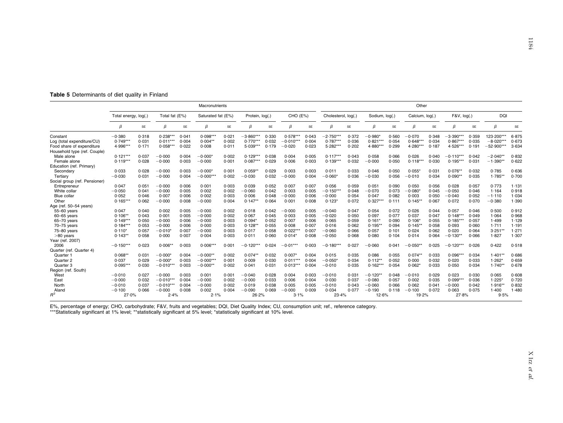|                               |                      |           |                |           | Macronutrients     |       |                 |           | Other       |           |                     |       |                |           |                 |           |             |           |               |       |
|-------------------------------|----------------------|-----------|----------------|-----------|--------------------|-------|-----------------|-----------|-------------|-----------|---------------------|-------|----------------|-----------|-----------------|-----------|-------------|-----------|---------------|-------|
|                               | Total energy, log(.) |           | Total fat (E%) |           | Saturated fat (E%) |       | Protein, log(.) |           | CHO (E%)    |           | Cholesterol, log(.) |       | Sodium, log(.) |           | Calcium, log(.) |           | F&V, log(.) |           | DQI           |       |
|                               | B                    | <b>SE</b> | β              | <b>SE</b> | ß                  | SE    | ß               | <b>SE</b> | $\beta$     | <b>SE</b> | B                   | SE    | ß              | <b>SE</b> | B               | <b>SE</b> | ß           | <b>SE</b> | ß             | SE    |
| Constant                      | $-0.380$             | 0.318     | $0.238***$     | 0.041     | $0.098***$         | 0.021 | $-3.860***$     | 0.330     | $0.578***$  | 0.043     | $-2.750***$         | 0.372 | $-0.980*$      | 0.560     | $-0.070$        | 0.348     | $-3.390***$ | 0.359     | 123-200***    | 6.875 |
| Log (total expenditure/CU)    | $0.749***$           | 0.031     | $0.011***$     | 0.004     | $0.004**$          | 0.002 | $0.770***$      | 0.032     | $-0.010***$ | 0.004     | $0.787***$          | 0.036 | $0.821***$     | 0.054     | $0.648***$      | 0.034     | $0.867***$  | 0.035     | $-8.020**$    | 0.673 |
| Food share of expenditure     | 4.996***             | 0.171     | $0.058***$     | 0.022     | 0.008              | 0.011 | $5.039***$      | 0.179     | $-0.020$    | 0.023     | $5.282***$          | 0.202 | $4.880***$     | 0.299     | $4.280***$      | 0.187     | $4.526***$  | 0.191     | $-52.900***$  | 3.634 |
| Household type (ref. Couple)  |                      |           |                |           |                    |       |                 |           |             |           |                     |       |                |           |                 |           |             |           |               |       |
| Male alone                    | $0.121***$           | 0.037     | $-0.000$       | 0.004     | $-0.000*$          | 0.002 | $0.129***$      | 0.038     | 0.004       | 0.005     | $0.117***$          | 0.043 | 0.058          | 0.066     | 0.026           | 0.040     | $-0.110***$ | 0.042     | $-2.040**$    | 0.832 |
| Female alone                  | $0.119***$           | 0.028     | $-0.000$       | 0.003     | $-0.000$           | 0.001 | $0.087***$      | 0.029     | 0.006       | 0.003     | $0.139***$          | 0.032 | $-0.000$       | 0.050     | $0.118***$      | 0.030     | $0.195***$  | 0.031     | $-1.390*$     | 0.622 |
| Education (ref. Primary)      |                      |           |                |           |                    |       |                 |           |             |           |                     |       |                |           |                 |           |             |           |               |       |
| Secondary                     | 0.033                | 0.028     | $-0.000$       | 0.003     | $-0.000*$          | 0.001 | $0.059**$       | 0.029     | 0.003       | 0.003     | 0.011               | 0.033 | 0.046          | 0.050     | 0.055'          | 0.031     | $0.076**$   | 0.032     | 0.785         | 0.636 |
| Tertiarv                      | $-0.030$             | 0.031     | $-0.000$       | 0.004     | $-0.000***$        | 0.002 | $-0.030$        | 0.032     | $-0.000$    | 0.004     | $-0.060*$           | 0.036 | $-0.030$       | 0.056     | $-0.010$        | 0.034     | $0.090**$   | 0.035     | $1.785*$      | 0.700 |
| Social group (ref. Pensioner) |                      |           |                |           |                    |       |                 |           |             |           |                     |       |                |           |                 |           |             |           |               |       |
| Entrepreneur                  | 0.047                | 0.051     | $-0.000$       | 0.006     | 0.001              | 0.003 | 0.039           | 0.052     | 0.007       | 0.007     | 0.056               | 0.059 | 0.051          | 0.090     | 0.050           | 0.056     | 0.028       | 0.057     | 0.773         | 1.131 |
| White collar                  | $-0.050$             | 0.041     | $-0.000$       | 0.005     | 0.002              | 0.002 | $-0.060$        | 0.042     | 0.003       | 0.005     | $-0.150***$         | 0.048 | $-0.070$       | 0.073     | $-0.080*$       | 0.045     | $-0.050$    | 0.046     | 1.164         | 0.918 |
| Blue collar                   | 0.052                | 0.046     | 0.007          | 0.006     | 0.002              | 0.003 | 0.006           | 0.048     | $-0.000$    | 0.006     | $-0.000$            | 0.054 | 0.047          | 0.082     | 0.003           | 0.050     | $-0.040$    | 0.052     | $-1.110$      | 1.034 |
| Other                         | $0.165***$           | 0.062     | $-0.000$       | 0.008     | $-0.000$           | 0.004 | $0.147**$       | 0.064     | 0.001       | 0.008     | $0.123*$            | 0.072 | $0.327***$     | 0.111     | $0.145**$       | 0.067     | 0.072       | 0.070     | $-0.380$      | 1.390 |
| Age (ref. 50-54 years)        |                      |           |                |           |                    |       |                 |           |             |           |                     |       |                |           |                 |           |             |           |               |       |
| 55-60 years                   | 0.047                | 0.040     | 0.002          | 0.005     | $-0.000$           | 0.002 | 0.018           | 0.042     | $-0.000$    | 0.005     | $-0.040$            | 0.047 | 0.054          | 0.072     | 0.026           | 0.044     | 0.057       | 0.046     | 0.500         | 0.912 |
| $60 - 65$ years               | $0.106**$            | 0.043     | 0.001          | 0.005     | $-0.000$           | 0.002 | 0.067           | 0.045     | 0.003       | 0.005     | $-0.020$            | 0.050 | 0.097          | 0.077     | 0.037           | 0.047     | $0.148**$   | 0.049     | 1.064         | 0.968 |
| $65 - 70$ years               | $0.149***$           | 0.050     | $-0.000$       | 0.006     | $-0.000$           | 0.003 | $0.094*$        | 0.052     | 0.007       | 0.006     | 0.065               | 0.059 | 0.161          | 0.090     | $0.106*$        | 0.055     | $0.185**$   | 0.057     | 1.499         | 1.129 |
| 70-75 years                   | $0.184***$           | 0.053     | $-0.000$       | 0.006     | 0.000              | 0.003 | $0.128*$        | 0.055     | 0.008       | 0.007     | 0.016               | 0.062 | $0.195**$      | 0.094     | $0.145**$       | 0.058     | 0.093       | 0.060     | 1.711         | 1.191 |
| 75-80 years                   | $0.110*$             | 0.057     | $-0.010*$      | 0.007     | $-0.000$           | 0.003 | 0.017           | 0.058     | $0.022***$  | 0.007     | $-0.060$            | 0.066 | 0.057          | 0.101     | 0.024           | 0.062     | 0.020       | 0.064     | $3.251*$      | 1.271 |
| $>80$ years                   | $0.143**$            | 0.058     | 0.000          | 0.007     | 0.004              | 0.003 | 0.011           | 0.060     | $0.014*$    | 0.008     | $-0.050$            | 0.068 | 0.080          | 0.104     | 0.014           | 0.064     | $-0.130**$  | 0.066     | 1.827         | 1.307 |
| Year (ref. 2007)              |                      |           |                |           |                    |       |                 |           |             |           |                     |       |                |           |                 |           |             |           |               |       |
| 2006                          | $-0.150***$          | 0.023     | $0.006**$      | 0.003     | $0.006***$         | 0.001 | $-0.120***$     | 0.024     | $-0.01***$  | 0.003     | $-0.180***$         | 0.027 | $-0.060$       | 0.041     | $-0.050**$      | 0.025     | $-0.120***$ | 0.026     | 0.422         | 0.518 |
| Quarter (ref. Quarter 4)      |                      |           |                |           |                    |       |                 |           |             |           |                     |       |                |           |                 |           |             |           |               |       |
| Quarter 1                     | $0.068**$            | 0.031     | $-0.000*$      | 0.004     | $-0.000**$         | 0.002 | $0.074**$       | 0.032     | 0.007'      | 0.004     | 0.015               | 0.035 | 0.086          | 0.055     | $0.074**$       | 0.033     | $0.096***$  | 0.034     | $1.401**$     | 0.686 |
| Quarter 2                     | 0.037                | 0.029     | $-0.000*$      | 0.003     | $-0.000***$        | 0.001 | 0.009           | 0.030     | $0.011***$  | 0.004     | $-0.050*$           | 0.034 | $0.112**$      | 0.052     | 0.000           | 0.032     | 0.020       | 0.033     | $1.262*$      | 0.659 |
| Quarter 3                     | $0.095***$           | 0.030     | $-0.010***$    | 0.003     | $-0.000**$         | 0.002 | 0.041           | 0.031     | $0.013***$  | 0.004     | $-0.010$            | 0.035 | $0.162***$     | 0.054     | $0.062*$        | 0.033     | 0.050       | 0.034     | $1.740*$      | 0.678 |
| Region (ref. South)           |                      |           |                |           |                    |       |                 |           |             |           |                     |       |                |           |                 |           |             |           |               |       |
| West                          | $-0.010$             | 0.027     | $-0.000$       | 0.003     | 0.001              | 0.001 | $-0.040$        | 0.028     | 0.004       | 0.003     | $-0.010$            | 0.031 | $-0.120**$     | 0.048     | $-0.010$        | 0.029     | 0.023       | 0.030     | 0.065         | 0.608 |
|                               | $-0.000$             | 0.032     | $-0.010***$    | 0.004     | $-0.000$           | 0.002 | $-0.000$        | 0.033     | 0.006       | 0.004     | 0.030               | 0.037 | $-0.080$       | 0.057     | 0.002           | 0.035     | $0.099***$  | 0.036     | 1.225'        | 0.720 |
| East<br>North                 | $-0.010$             | 0.037     | $-0.010***$    | 0.004     | $-0.000$           | 0.002 | 0.019           | 0.038     | 0.005       | 0.005     | $-0.010$            | 0.043 | $-0.060$       | 0.066     | 0.062           | 0.041     | $-0.000$    | 0.042     | $1.916**$     | 0.832 |
|                               | $-0.100$             | 0.066     | $-0.000$       | 0.008     | 0.002              |       | $-0.090$        | 0.069     | $-0.000$    |           |                     | 0.077 | $-0.190$       | 0.118     | $-0.100$        | 0.072     | 0.063       | 0.075     |               | 1.480 |
| Aland<br>$R^2$                | 27.0%                |           | 2.4%           |           | 2.1%               | 0.004 | 26.2%           |           | 3.1%        | 0.009     | 0.034<br>23.4%      |       | 12.6%          |           | 19.2%           |           | 27.8%       |           | 1.400<br>9.5% |       |

#### Table 5 Determinants of diet quality in Finland

E%, percentage of energy; CHO, carbohydrate; F&V, fruits and vegetables; DQI, Diet Quality Index; CU, consumption unit; ref., reference category.<br>\*\*\*Statistically significant at 1% level; \*\*statistically significant at 5%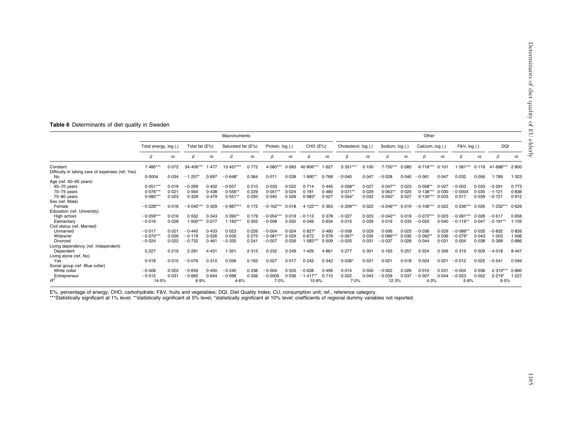#### <span id="page-8-0"></span>Table 6 Determinants of diet quality in Sweden

|                                                              |                          |                |                      |                | Macronutrients        |                    |                        |                  | Other             |                |                        |                      |                       |                 |                         |                |                        |                |                     |                |
|--------------------------------------------------------------|--------------------------|----------------|----------------------|----------------|-----------------------|--------------------|------------------------|------------------|-------------------|----------------|------------------------|----------------------|-----------------------|-----------------|-------------------------|----------------|------------------------|----------------|---------------------|----------------|
|                                                              | Total energy, log (.)    |                |                      | Total fat (E%) |                       | Saturated fat (E%) |                        | Protein, log (.) |                   | CHO (E%)       |                        | Cholesterol, log (.) |                       | Sodium, log (.) | Calcium, log (.)        |                | F&V, log(.)            |                | DQI                 |                |
|                                                              |                          | SE             | ß                    | <b>SE</b>      | ß                     | SE                 | ß                      | SE               | ß                 | <b>SE</b>      | ß                      | <b>SE</b>            |                       | <b>SE</b>       |                         | <b>SE</b>      | ß                      | <b>SE</b>      | ß                   | SE             |
| Constant<br>Difficulty in taking care of expenses (ref. Yes) | $7.485***$               | 0.072          | $34.406***$          | 1.477          | $13.457***$           | 0.772              | $4.080***$             | 0.083            | 40.806***         | 1.627          | $5.351***$             | 0.100                | $7.750***$            | 0.085           | $6.716***$              | 0.101          | $1.381***$             | 0.119          | $41.688***$         | 2.800          |
| No<br>Age (ref. 60-65 years)                                 | 0.0004                   | 0.034          | $-1.257*$            | 0.697          | $-0.648*$             | 0.364              | 0.01                   | 0.039            | $1.900**$         | 0.768          | $-0.040$               | 0.047                | $-0.028$              | 0.040           | $-0.061$                | 0.047          | 0.032                  | 0.056          | 1.789               | 1.323          |
| 65-70 years<br>70-75 years                                   | $0.051***$<br>$0.076***$ | 0.019<br>0.021 | $-0.269$<br>0.564    | 0.402<br>0.438 | $-0.057$<br>$0.556**$ | 0.210<br>0.229     | 0.033<br>$0.051**$     | 0.022<br>0.024   | 0.714<br>0.181    | 0.445<br>0.480 | $0.058**$<br>$0.071**$ | 0.027<br>0.029       | $0.047**$<br>$0.063*$ | 0.023<br>0.025  | $0.058**$<br>$0.138***$ | 0.027<br>0.030 | $-0.003$<br>$-0.0004$  | 0.033<br>0.035 | $-0.29$<br>$-1.121$ | 0.773<br>0.836 |
| 75-80 years                                                  | $0.085***$               | 0.023          | 0.329                | 0.479          | $0.551**$             | 0.250              | 0.040                  | 0.026            | $0.983*$          | 0.527          | $0.054*$               | 0.032                | $0.050*$              | 0.027           | $0.130***$              | 0.033          | 0.017                  | 0.039          | $-0.721$            | 0.912          |
| Sex (ref. Male)<br>Female                                    | $-0.228***$              | 0.016          | $-3.040***$          | 0.329          | $-0.987***$           | 0.172              | $-0.162***$            | 0.018            | $4.122***$        | 0.363          | $-0.209***$            | 0.022                | $0.246***$            | 0.019           | $-0.106***$             | 0.022          | $0.236***$             | 0.026          | 7.232***            | 0.629          |
| Education (ref. University)                                  |                          |                |                      |                |                       |                    |                        |                  |                   |                |                        |                      |                       |                 |                         |                |                        |                |                     |                |
| High school                                                  | $-0.059***$              | 0.016          | 0.552                | 0.343          | $0.390**$             | 0.179              | $-0.054***$            | 0.019            | $-0.113$          | 0.378          | $-0.027$               | 0.023                | $-0.042*$             | 0.019           | $-0.072***$             | 0.023          | $-0.081***$            | 0.028          | $-0.617$            | 0.656          |
| Elementary                                                   | $-0.016$                 | 0.028          | $1.930***$           | 0.577          | $1.183***$            | 0.302              | $-0.008$               | 0.032            | 0.046             | 0.634          | 0.015                  | 0.039                | 0.019                 | 0.033           | $-0.020$                | 0.040          | $-0.119**$             | 0.047          | $-2.191**$          | 1.105          |
| Civil status (ref. Married)                                  |                          |                |                      |                |                       |                    |                        |                  |                   |                |                        |                      |                       |                 |                         |                |                        |                |                     |                |
| Unmarried<br>Widow/er                                        | $-0.017$<br>$-0.070***$  | 0.021<br>0.026 | $-0.445$<br>$-0.119$ | 0.433<br>0.526 | 0.023<br>0.035        | 0.226<br>0.275     | $-0.004$<br>$-0.081**$ | 0.024<br>0.029   | $0.827*$<br>0.672 | 0.480<br>0.579 | $-0.008$<br>$-0.067$   | 0.029<br>0.035       | 0.006<br>$-0.086*$    | 0.025<br>0.030  | $-0.036$<br>$-0.092*$   | 0.029<br>0.036 | $-0.089**$<br>$-0.079$ | 0.035<br>0.043 | $-0.832$<br>1.003   | 0.826<br>1.006 |
| Divorced                                                     | $-0.024$                 | 0.022          | $-0.732$             | 0.461          | $-0.335$              | 0.241              | $-0.007$               | 0.026            | $1.583***$        | 0.509          | $-0.025$               | 0.031                | $-0.037$              | 0.026           | 0.044                   | 0.031          | 0.004                  | 0.038          | 0.399               | 0.886          |
| Living dependency (ref. Independent)                         |                          |                |                      |                |                       |                    |                        |                  |                   |                |                        |                      |                       |                 |                         |                |                        |                |                     |                |
| Dependent                                                    | 0.227                    | 0.219          | 2.281                | 4.431          | 1.351                 | 2.315              | 0.232                  | 0.249            | 1.429             | 4.861          | 0.277                  | 0.301                | 0.163                 | 0.257           | 0.224                   | 0.306          | 0.319                  | 0.509          | $-4.018$            | 8.447          |
| Living alone (ref. No)                                       |                          |                |                      |                |                       |                    |                        |                  |                   |                |                        |                      |                       |                 |                         |                |                        |                |                     |                |
| Yes                                                          | 0.018                    | 0.015          | $-0.076$             | 0.310          | 0.056                 | 0.162              | 0.027                  | 0.017            | 0.242             | 0.342          | 0.036'                 | 0.021                | 0.021                 | 0.018           | 0.024                   | 0.021          | $-0.012$               | 0.025          | $-0.541$            | 0.594          |
| Social group (ref. Blue collar)                              |                          |                |                      |                |                       |                    |                        |                  |                   |                |                        |                      |                       |                 |                         |                |                        |                |                     |                |
| White collar                                                 | $-0.006$                 | 0.022          | $-0.659$             | 0.450          | $-0.240$              | 0.236              | $-0.004$               | 0.025            | $-0.628$          | 0.499          | 0.015                  | 0.030                | $-0.022$              | 0.026           | 0.010                   | 0.031          | $-0.004$               | 0.036          | $2.319***$          | 0.860          |
| Entrepreneur                                                 | $-0.015$                 | 0.031          | $-0.665$             | 0.644          | $-0.098$              | 0.336              | $-0.0005$              | 0.036            | $-1.417*$         | 0.710          | 0.022                  | 0.043                | $-0.039$              | 0.037           | $-0.007$                | 0.044          | $-0.023$               | 0.052          | $2.219*$            | 1.227          |
| $R^2$                                                        | 14.5%                    |                | 6.9%                 |                | 4.6%                  |                    | 7.0%                   |                  | 10.8%             |                | 7.0%                   |                      | 12.3%                 |                 | 4.3%                    |                | 5.8%                   |                | 9.5%                |                |

E%, percentage of energy; CHO, carbohydrate; F&V, fruits and vegetables; DQI, Diet Quality Index; CU, consumption unit; ref., reference category.

\*\*\*Statistically significant at 1% level; \*\*statistically significant at 5% level; \*statistically significant at 10% level; coefficients of regional dummy variables not reported.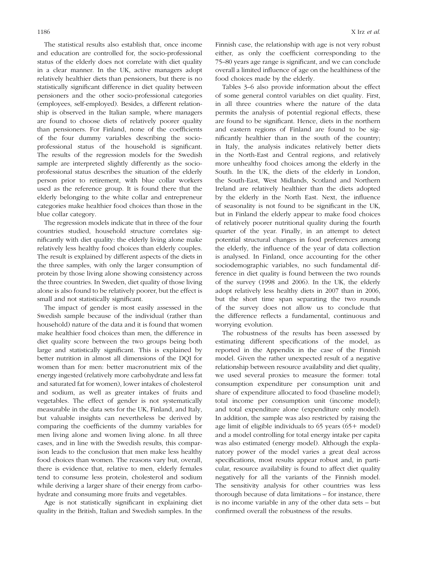The statistical results also establish that, once income and education are controlled for, the socio-professional status of the elderly does not correlate with diet quality in a clear manner. In the UK, active managers adopt relatively healthier diets than pensioners, but there is no statistically significant difference in diet quality between pensioners and the other socio-professional categories (employees, self-employed). Besides, a different relationship is observed in the Italian sample, where managers are found to choose diets of relatively poorer quality than pensioners. For Finland, none of the coefficients of the four dummy variables describing the socioprofessional status of the household is significant. The results of the regression models for the Swedish sample are interpreted slightly differently as the socioprofessional status describes the situation of the elderly person prior to retirement, with blue collar workers used as the reference group. It is found there that the elderly belonging to the white collar and entrepreneur categories make healthier food choices than those in the blue collar category.

The regression models indicate that in three of the four countries studied, household structure correlates significantly with diet quality: the elderly living alone make relatively less healthy food choices than elderly couples. The result is explained by different aspects of the diets in the three samples, with only the larger consumption of protein by those living alone showing consistency across the three countries. In Sweden, diet quality of those living alone is also found to be relatively poorer, but the effect is small and not statistically significant.

The impact of gender is most easily assessed in the Swedish sample because of the individual (rather than household) nature of the data and it is found that women make healthier food choices than men, the difference in diet quality score between the two groups being both large and statistically significant. This is explained by better nutrition in almost all dimensions of the DQI for women than for men: better macronutrient mix of the energy ingested (relatively more carbohydrate and less fat and saturated fat for women), lower intakes of cholesterol and sodium, as well as greater intakes of fruits and vegetables. The effect of gender is not systematically measurable in the data sets for the UK, Finland, and Italy, but valuable insights can nevertheless be derived by comparing the coefficients of the dummy variables for men living alone and women living alone. In all three cases, and in line with the Swedish results, this comparison leads to the conclusion that men make less healthy food choices than women. The reasons vary but, overall, there is evidence that, relative to men, elderly females tend to consume less protein, cholesterol and sodium while deriving a larger share of their energy from carbohydrate and consuming more fruits and vegetables.

Age is not statistically significant in explaining diet quality in the British, Italian and Swedish samples. In the Finnish case, the relationship with age is not very robust either, as only the coefficient corresponding to the 75–80 years age range is significant, and we can conclude overall a limited influence of age on the healthiness of the food choices made by the elderly.

[Tables 3](#page-4-0)–[6](#page-8-0) also provide information about the effect of some general control variables on diet quality. First, in all three countries where the nature of the data permits the analysis of potential regional effects, these are found to be significant. Hence, diets in the northern and eastern regions of Finland are found to be significantly healthier than in the south of the country; in Italy, the analysis indicates relatively better diets in the North-East and Central regions, and relatively more unhealthy food choices among the elderly in the South. In the UK, the diets of the elderly in London, the South-East, West Midlands, Scotland and Northern Ireland are relatively healthier than the diets adopted by the elderly in the North East. Next, the influence of seasonality is not found to be significant in the UK, but in Finland the elderly appear to make food choices of relatively poorer nutritional quality during the fourth quarter of the year. Finally, in an attempt to detect potential structural changes in food preferences among the elderly, the influence of the year of data collection is analysed. In Finland, once accounting for the other sociodemographic variables, no such fundamental difference in diet quality is found between the two rounds of the survey (1998 and 2006). In the UK, the elderly adopt relatively less healthy diets in 2007 than in 2006, but the short time span separating the two rounds of the survey does not allow us to conclude that the difference reflects a fundamental, continuous and worrying evolution.

The robustness of the results has been assessed by estimating different specifications of the model, as reported in the Appendix in the case of the Finnish model. Given the rather unexpected result of a negative relationship between resource availability and diet quality, we used several proxies to measure the former: total consumption expenditure per consumption unit and share of expenditure allocated to food (baseline model); total income per consumption unit (income model); and total expenditure alone (expenditure only model). In addition, the sample was also restricted by raising the age limit of eligible individuals to  $65$  years  $(65 + \text{model})$ and a model controlling for total energy intake per capita was also estimated (energy model). Although the explanatory power of the model varies a great deal across specifications, most results appear robust and, in particular, resource availability is found to affect diet quality negatively for all the variants of the Finnish model. The sensitivity analysis for other countries was less thorough because of data limitations – for instance, there is no income variable in any of the other data sets – but confirmed overall the robustness of the results.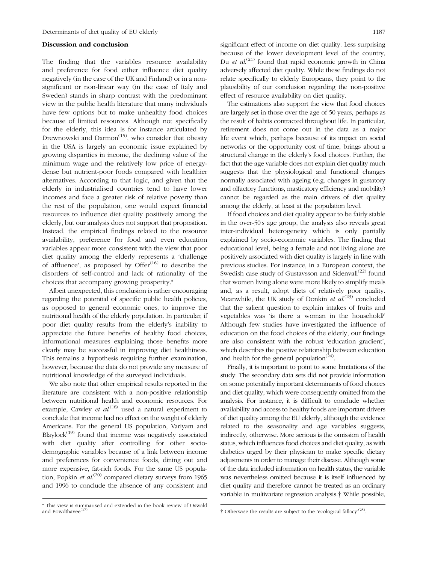#### Discussion and conclusion

The finding that the variables resource availability and preference for food either influence diet quality negatively (in the case of the UK and Finland) or in a nonsignificant or non-linear way (in the case of Italy and Sweden) stands in sharp contrast with the predominant view in the public health literature that many individuals have few options but to make unhealthy food choices because of limited resources. Although not specifically for the elderly, this idea is for instance articulated by Drewnowski and Darmon<sup> $(15)$ </sup>, who consider that obesity in the USA is largely an economic issue explained by growing disparities in income, the declining value of the minimum wage and the relatively low price of energydense but nutrient-poor foods compared with healthier alternatives. According to that logic, and given that the elderly in industrialised countries tend to have lower incomes and face a greater risk of relative poverty than the rest of the population, one would expect financial resources to influence diet quality positively among the elderly, but our analysis does not support that proposition. Instead, the empirical findings related to the resource availability, preference for food and even education variables appear more consistent with the view that poor diet quality among the elderly represents a 'challenge of affluence', as proposed by Offer $(16)$  to describe the disorders of self-control and lack of rationality of the choices that accompany growing prosperity.\*

Albeit unexpected, this conclusion is rather encouraging regarding the potential of specific public health policies, as opposed to general economic ones, to improve the nutritional health of the elderly population. In particular, if poor diet quality results from the elderly's inability to appreciate the future benefits of healthy food choices, informational measures explaining those benefits more clearly may be successful in improving diet healthiness. This remains a hypothesis requiring further examination, however, because the data do not provide any measure of nutritional knowledge of the surveyed individuals.

We also note that other empirical results reported in the literature are consistent with a non-positive relationship between nutritional health and economic resources. For example, Cawley et  $al^{(18)}$  $al^{(18)}$  $al^{(18)}$  used a natural experiment to conclude that income had no effect on the weight of elderly Americans. For the general US population, Variyam and Blaylock $(19)$  found that income was negatively associated with diet quality after controlling for other sociodemographic variables because of a link between income and preferences for convenience foods, dining out and more expensive, fat-rich foods. For the same US popula-tion, Popkin et al.<sup>[\(20\)](#page-11-0)</sup> compared dietary surveys from 1965 and 1996 to conclude the absence of any consistent and significant effect of income on diet quality. Less surprising because of the lower development level of the country, Du et al.<sup>[\(21\)](#page-11-0)</sup> found that rapid economic growth in China adversely affected diet quality. While these findings do not relate specifically to elderly Europeans, they point to the plausibility of our conclusion regarding the non-positive effect of resource availability on diet quality.

The estimations also support the view that food choices are largely set in those over the age of 50 years, perhaps as the result of habits contracted throughout life. In particular, retirement does not come out in the data as a major life event which, perhaps because of its impact on social networks or the opportunity cost of time, brings about a structural change in the elderly's food choices. Further, the fact that the age variable does not explain diet quality much suggests that the physiological and functional changes normally associated with ageing (e.g. changes in gustatory and olfactory functions, masticatory efficiency and mobility) cannot be regarded as the main drivers of diet quality among the elderly, at least at the population level.

If food choices and diet quality appear to be fairly stable in the over-50s age group, the analysis also reveals great inter-individual heterogeneity which is only partially explained by socio-economic variables. The finding that educational level, being a female and not living alone are positively associated with diet quality is largely in line with previous studies. For instance, in a European context, the Swedish case study of Gustavsson and Sidenvall<sup>(22)</sup> found that women living alone were more likely to simplify meals and, as a result, adopt diets of relatively poor quality. Meanwhile, the UK study of Donkin et al.<sup>[\(23\)](#page-11-0)</sup> concluded that the salient question to explain intakes of fruits and vegetables was 'is there a woman in the household?' Although few studies have investigated the influence of education on the food choices of the elderly, our findings are also consistent with the robust 'education gradient', which describes the positive relationship between education and health for the general population<sup> $(24)$ </sup>.

Finally, it is important to point to some limitations of the study. The secondary data sets did not provide information on some potentially important determinants of food choices and diet quality, which were consequently omitted from the analysis. For instance, it is difficult to conclude whether availability and access to healthy foods are important drivers of diet quality among the EU elderly, although the evidence related to the seasonality and age variables suggests, indirectly, otherwise. More serious is the omission of health status, which influences food choices and diet quality, as with diabetics urged by their physician to make specific dietary adjustments in order to manage their disease. Although some of the data included information on health status, the variable was nevertheless omitted because it is itself influenced by diet quality and therefore cannot be treated as an ordinary variable in multivariate regression analysis.<sup>†</sup> While possible,

<sup>\*</sup> This view is summarised and extended in the book review of Oswald

 $\dagger$  Otherwise the results are subject to the 'ecological fallacy'<sup>[\(25\)](#page-11-0)</sup>.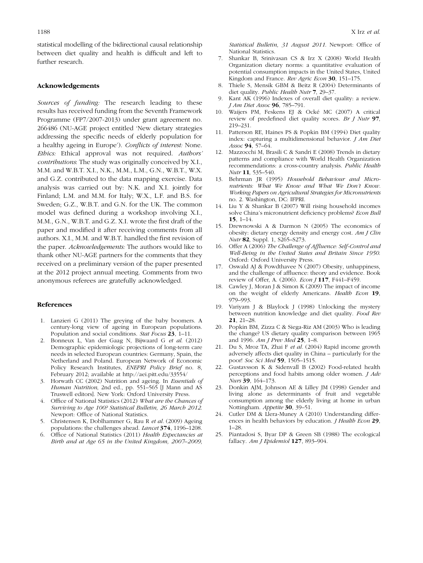<span id="page-11-0"></span>statistical modelling of the bidirectional causal relationship between diet quality and health is difficult and left to further research.

#### Acknowledgements

Sources of funding: The research leading to these results has received funding from the Seventh Framework Programme (FP7/2007-2013) under grant agreement no. 266486 (NU-AGE project entitled 'New dietary strategies addressing the specific needs of elderly population for a healthy ageing in Europe'). Conflicts of interest: None. Ethics: Ethical approval was not required. Authors' contributions: The study was originally conceived by X.I., M.M. and W.B.T. X.I., N.K., M.M., L.M., G.N., W.B.T., W.X. and G.Z. contributed to the data mapping exercise. Data analysis was carried out by: N.K. and X.I. jointly for Finland; L.M. and M.M. for Italy; W.X., L.F. and B.S. for Sweden; G.Z., W.B.T. and G.N. for the UK. The common model was defined during a workshop involving X.I., M.M., G.N., W.B.T. and G.Z. X.I. wrote the first draft of the paper and modified it after receiving comments from all authors. X.I., M.M. and W.B.T. handled the first revision of the paper. Acknowledgements: The authors would like to thank other NU-AGE partners for the comments that they received on a preliminary version of the paper presented at the 2012 project annual meeting. Comments from two anonymous referees are gratefully acknowledged.

#### References

- 1. Lanzieri G (2011) The greying of the baby boomers. A century-long view of ageing in European populations. Population and social conditions. Stat Focus 23, 1–11.
- 2. Bonneux L, Van der Gaag N, Bijwaard G et al. (2012) Demographic epidemiologic projections of long-term care needs in selected European countries: Germany, Spain, the Netherland and Poland. European Network of Economic Policy Research Institutes, ENEPRI Policy Brief no. 8, February 2012; available at http://aei.pitt.edu/33554/
- 3. Horwath CC (2002) Nutrition and ageing. In Essentials of Human Nutrition, 2nd ed., pp. 551–565 [J Mann and AS Truswell editors]. New York: Oxford University Press.
- 4. Office of National Statistics (2012) What are the Chances of Surviving to Age 100? Statistical Bulletin, 26 March 2012. Newport: Office of National Statistics.
- 5. Christensen K, Doblhammer G, Rau R et al. (2009) Ageing populations: the challenges ahead. Lancet 374, 1196–1208.
- Office of National Statistics (2011) Health Expectancies at Birth and at Age 65 in the United Kingdom, 2007–2009,

Statistical Bulletin, 31 August 2011. Newport: Office of National Statistics.

- 7. Shankar B, Srinivasan CS & Irz X (2008) World Health Organization dietary norms: a quantitative evaluation of potential consumption impacts in the United States, United Kingdom and France. Rev Agric Econ 30, 151-175.
- 8. Thiele S, Mensik GBM & Beitz R (2004) Determinants of diet quality. Public Health Nutr 7, 29–37.
- 9. Kant AK (1996) Indexes of overall diet quality: a review. J Am Diet Assoc 96, 785–791.
- 10. Waijers PM, Feskens EJ & Ocke´ MC (2007) A critical review of predefined diet quality scores. Br J Nutr 97, 219–231.
- 11. Patterson RE, Haines PS & Popkin BM (1994) Diet quality index: capturing a multidimensional behavior. *J Am Diet* Assoc 94, 57–64.
- 12. Mazzocchi M, Brasili C & Sandri E (2008) Trends in dietary patterns and compliance with World Health Organization recommendations: a cross-country analysis. Public Health Nutr 11, 535–540.
- 13. Behrman JR (1995) Household Behaviour and Micronutrients: What We Know and What We Don't Know. Working Papers on Agricultural Strategies for Micronutrients no. 2. Washington, DC: IFPRI.
- 14. Liu Y & Shankar B (2007) Will rising household incomes solve China's micronutrient deficiency problems? Econ Bull 15,  $1-14$ .
- 15. Drewnowski A & Darmon N (2005) The economics of obesity: dietary energy density and energy cost. Am J Clin Nutr 82, Suppl. 1, S265-S273.
- 16. Offer A (2006) The Challenge of Affluence: Self-Control and Well-Being in the United States and Britain Since 1950. Oxford: Oxford University Press.
- 17. Oswald AJ & Powdthavee N (2007) Obesity, unhappiness, and the challenge of affluence: theory and evidence. Book review of Offer, A. (2006). *Econ J* 117, F441-F459.
- 18. Cawley J, Moran J & Simon K (2009) The impact of income on the weight of elderly Americans. Health Econ 19, 979–993.
- 19. Variyam J & Blaylock J (1998) Unlocking the mystery between nutrition knowledge and diet quality. Food Rev 21, 21–28.
- 20. Popkin BM, Zizza C & Siega-Riz AM (2003) Who is leading the change? US dietary quality comparison between 1965 and 1996. Am J Prev Med 25, 1–8.
- 21. Du S, Mroz TA, Zhai F et al. (2004) Rapid income growth adversely affects diet quality in China – particularly for the poor! Soc Sci Med 59, 1505–1515.
- 22. Gustavsson K & Sidenvall B (2002) Food-related health perceptions and food habits among older women. J Adv Nurs 39, 164–173.
- 23. Donkin AJM, Johnson AE & Lilley JM (1998) Gender and living alone as determinants of fruit and vegetable consumption among the elderly living at home in urban Nottingham. Appetite 30, 39–51.
- 24. Cutler DM & Llera-Muney A (2010) Understanding differences in health behaviors by education. *J Health Econ* 29, 1–28.
- 25. Piantadosi S, Byar DP & Green SB (1988) The ecological fallacy.  $Am J$  Epidemiol  $127$ , 893-904.